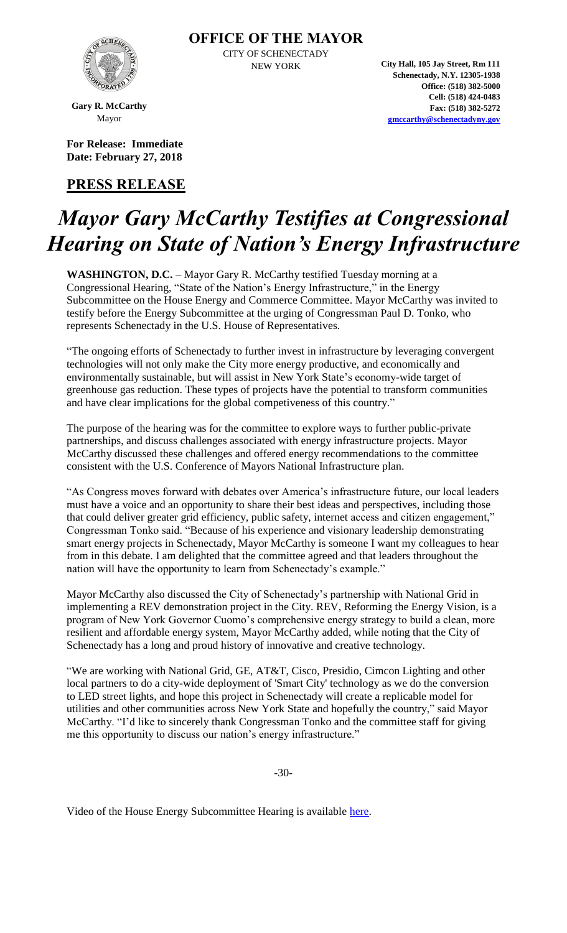

CITY OF SCHENECTADY

NEW YORK **City Hall, 105 Jay Street, Rm 111 Schenectady, N.Y. 12305-1938 Office: (518) 382-5000 Cell: (518) 424-0483 Fax: (518) 382-5272 [gmccarthy@schenectadyny.gov](mailto:gmccarthy@schenectadyny.gov)**

**Gary R. McCarthy** Mayor

**For Release: Immediate Date: February 27, 2018**

### **PRESS RELEASE**

## *Mayor Gary McCarthy Testifies at Congressional Hearing on State of Nation's Energy Infrastructure*

WASHINGTON, D.C. - Mayor Gary R. McCarthy testified Tuesday morning at a Congressional Hearing, "State of the Nation's Energy Infrastructure," in the Energy Subcommittee on the House Energy and Commerce Committee. Mayor McCarthy was invited to testify before the Energy Subcommittee at the urging of Congressman Paul D. Tonko, who represents Schenectady in the U.S. House of Representatives.

"The ongoing efforts of Schenectady to further invest in infrastructure by leveraging convergent technologies will not only make the City more energy productive, and economically and environmentally sustainable, but will assist in New York State's economy-wide target of greenhouse gas reduction. These types of projects have the potential to transform communities and have clear implications for the global competiveness of this country."

The purpose of the hearing was for the committee to explore ways to further public-private partnerships, and discuss challenges associated with energy infrastructure projects. Mayor McCarthy discussed these challenges and offered energy recommendations to the committee consistent with the U.S. Conference of Mayors National Infrastructure plan.

"As Congress moves forward with debates over America's infrastructure future, our local leaders must have a voice and an opportunity to share their best ideas and perspectives, including those that could deliver greater grid efficiency, public safety, internet access and citizen engagement," Congressman Tonko said. "Because of his experience and visionary leadership demonstrating smart energy projects in Schenectady, Mayor McCarthy is someone I want my colleagues to hear from in this debate. I am delighted that the committee agreed and that leaders throughout the nation will have the opportunity to learn from Schenectady's example."

Mayor McCarthy also discussed the City of Schenectady's partnership with National Grid in implementing a REV demonstration project in the City. REV, Reforming the Energy Vision, is a program of New York Governor Cuomo's comprehensive energy strategy to build a clean, more resilient and affordable energy system, Mayor McCarthy added, while noting that the City of Schenectady has a long and proud history of innovative and creative technology.

"We are working with National Grid, GE, AT&T, Cisco, Presidio, Cimcon Lighting and other local partners to do a city-wide deployment of 'Smart City' technology as we do the conversion to LED street lights, and hope this project in Schenectady will create a replicable model for utilities and other communities across New York State and hopefully the country," said Mayor McCarthy. "I'd like to sincerely thank Congressman Tonko and the committee staff for giving me this opportunity to discuss our nation's energy infrastructure."

-30-

Video of the House Energy Subcommittee Hearing is available [here.](https://www.youtube.com/watch?v=ccVEur3ccIE)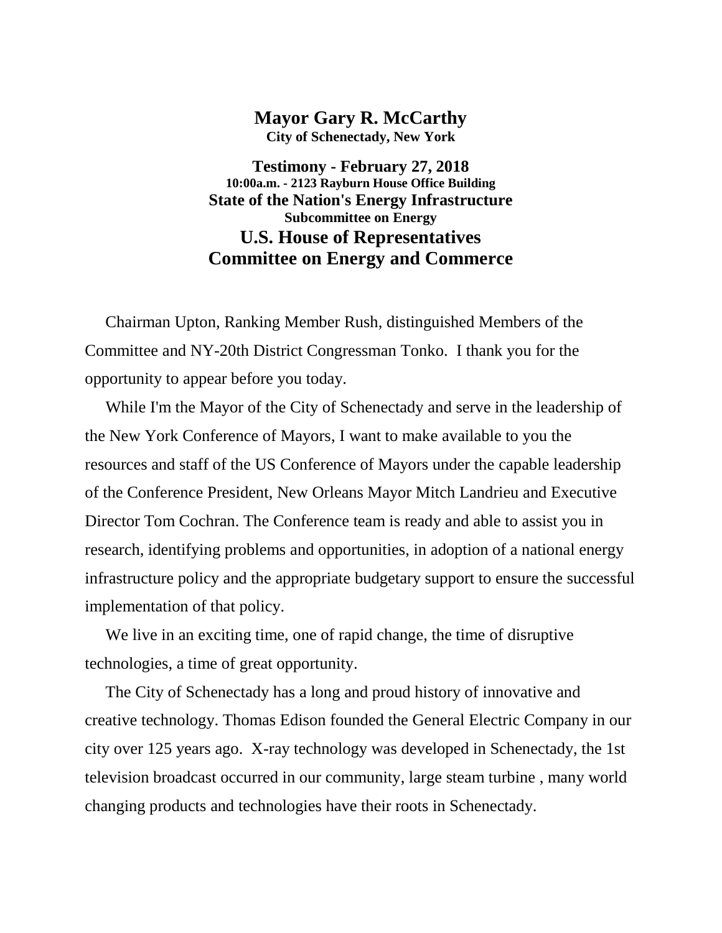### **Mayor Gary R. McCarthy**

**City of Schenectady, New York**

**Testimony - February 27, 2018 10:00a.m. - 2123 Rayburn House Office Building State of the Nation's Energy Infrastructure Subcommittee on Energy U.S. House of Representatives Committee on Energy and Commerce**

 Chairman Upton, Ranking Member Rush, distinguished Members of the Committee and NY-20th District Congressman Tonko. I thank you for the opportunity to appear before you today.

 While I'm the Mayor of the City of Schenectady and serve in the leadership of the New York Conference of Mayors, I want to make available to you the resources and staff of the US Conference of Mayors under the capable leadership of the Conference President, New Orleans Mayor Mitch Landrieu and Executive Director Tom Cochran. The Conference team is ready and able to assist you in research, identifying problems and opportunities, in adoption of a national energy infrastructure policy and the appropriate budgetary support to ensure the successful implementation of that policy.

 We live in an exciting time, one of rapid change, the time of disruptive technologies, a time of great opportunity.

 The City of Schenectady has a long and proud history of innovative and creative technology. Thomas Edison founded the General Electric Company in our city over 125 years ago. X-ray technology was developed in Schenectady, the 1st television broadcast occurred in our community, large steam turbine , many world changing products and technologies have their roots in Schenectady.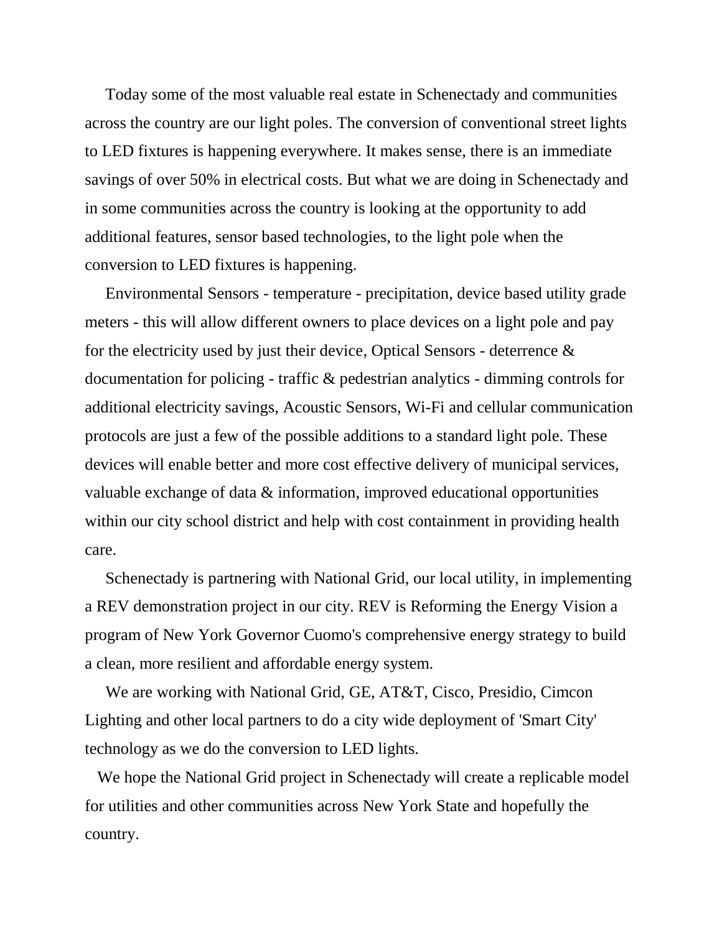Today some of the most valuable real estate in Schenectady and communities across the country are our light poles. The conversion of conventional street lights to LED fixtures is happening everywhere. It makes sense, there is an immediate savings of over 50% in electrical costs. But what we are doing in Schenectady and in some communities across the country is looking at the opportunity to add additional features, sensor based technologies, to the light pole when the conversion to LED fixtures is happening.

 Environmental Sensors - temperature - precipitation, device based utility grade meters - this will allow different owners to place devices on a light pole and pay for the electricity used by just their device, Optical Sensors - deterrence & documentation for policing - traffic & pedestrian analytics - dimming controls for additional electricity savings, Acoustic Sensors, Wi-Fi and cellular communication protocols are just a few of the possible additions to a standard light pole. These devices will enable better and more cost effective delivery of municipal services, valuable exchange of data & information, improved educational opportunities within our city school district and help with cost containment in providing health care.

 Schenectady is partnering with National Grid, our local utility, in implementing a REV demonstration project in our city. REV is Reforming the Energy Vision a program of New York Governor Cuomo's comprehensive energy strategy to build a clean, more resilient and affordable energy system.

 We are working with National Grid, GE, AT&T, Cisco, Presidio, Cimcon Lighting and other local partners to do a city wide deployment of 'Smart City' technology as we do the conversion to LED lights.

 We hope the National Grid project in Schenectady will create a replicable model for utilities and other communities across New York State and hopefully the country.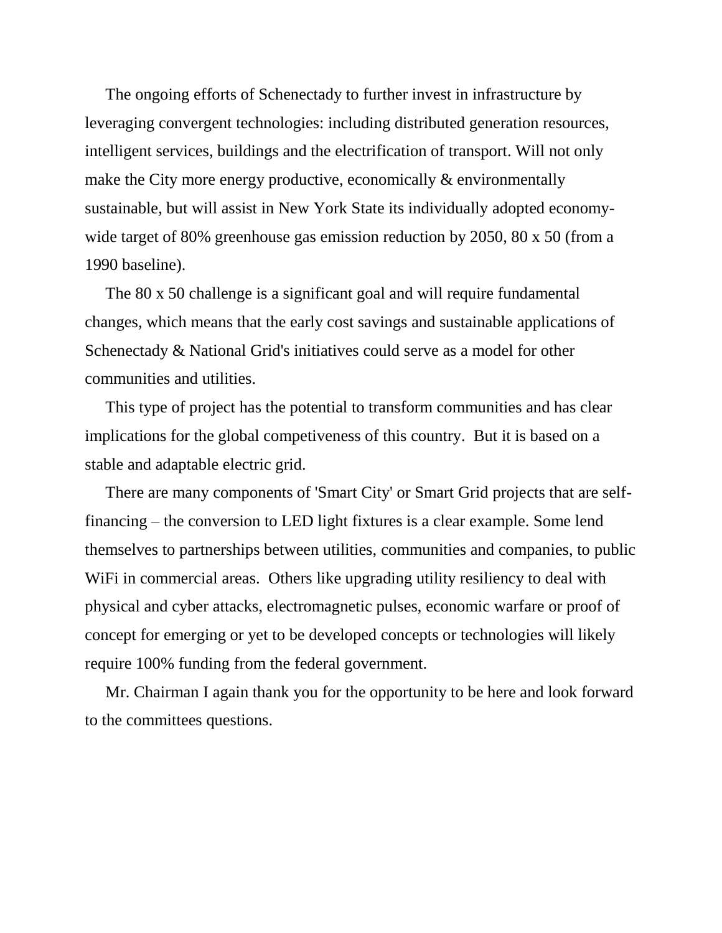The ongoing efforts of Schenectady to further invest in infrastructure by leveraging convergent technologies: including distributed generation resources, intelligent services, buildings and the electrification of transport. Will not only make the City more energy productive, economically & environmentally sustainable, but will assist in New York State its individually adopted economywide target of 80% greenhouse gas emission reduction by 2050, 80 x 50 (from a 1990 baseline).

 The 80 x 50 challenge is a significant goal and will require fundamental changes, which means that the early cost savings and sustainable applications of Schenectady & National Grid's initiatives could serve as a model for other communities and utilities.

 This type of project has the potential to transform communities and has clear implications for the global competiveness of this country. But it is based on a stable and adaptable electric grid.

 There are many components of 'Smart City' or Smart Grid projects that are selffinancing – the conversion to LED light fixtures is a clear example. Some lend themselves to partnerships between utilities, communities and companies, to public WiFi in commercial areas. Others like upgrading utility resiliency to deal with physical and cyber attacks, electromagnetic pulses, economic warfare or proof of concept for emerging or yet to be developed concepts or technologies will likely require 100% funding from the federal government.

 Mr. Chairman I again thank you for the opportunity to be here and look forward to the committees questions.